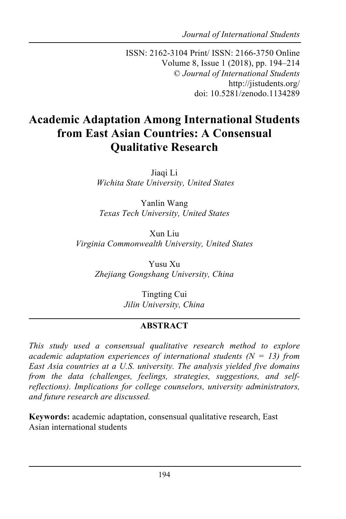*Journal of International Students*

ISSN: 2162-3104 Print/ ISSN: 2166-3750 Online Volume 8, Issue 1 (2018), pp. 194–214 © *Journal of International Students* http://jistudents.org/ doi: 10.5281/zenodo.1134289

# **Academic Adaptation Among International Students from East Asian Countries: A Consensual Qualitative Research**

Jiaqi Li *Wichita State University, United States*

Yanlin Wang *Texas Tech University, United States*

Xun Liu *Virginia Commonwealth University, United States*

> Yusu Xu *Zhejiang Gongshang University, China*

> > Tingting Cui *Jilin University, China*

## **ABSTRACT**

*This study used a consensual qualitative research method to explore academic adaptation experiences of international students (N = 13) from East Asia countries at a U.S. university. The analysis yielded five domains from the data (challenges, feelings, strategies, suggestions, and selfreflections). Implications for college counselors, university administrators, and future research are discussed.*

**Keywords:** academic adaptation, consensual qualitative research, East Asian international students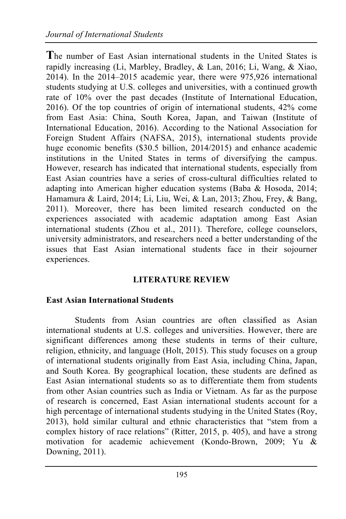**T**he number of East Asian international students in the United States is rapidly increasing (Li, Marbley, Bradley, & Lan, 2016; Li, Wang, & Xiao, 2014). In the 2014–2015 academic year, there were 975,926 international students studying at U.S. colleges and universities, with a continued growth rate of 10% over the past decades (Institute of International Education, 2016). Of the top countries of origin of international students, 42% come from East Asia: China, South Korea, Japan, and Taiwan (Institute of International Education, 2016). According to the National Association for Foreign Student Affairs (NAFSA, 2015), international students provide huge economic benefits (\$30.5 billion, 2014/2015) and enhance academic institutions in the United States in terms of diversifying the campus. However, research has indicated that international students, especially from East Asian countries have a series of cross-cultural difficulties related to adapting into American higher education systems (Baba & Hosoda, 2014; Hamamura & Laird, 2014; Li, Liu, Wei, & Lan, 2013; Zhou, Frey, & Bang, 2011). Moreover, there has been limited research conducted on the experiences associated with academic adaptation among East Asian international students (Zhou et al., 2011). Therefore, college counselors, university administrators, and researchers need a better understanding of the issues that East Asian international students face in their sojourner experiences.

#### **LITERATURE REVIEW**

#### **East Asian International Students**

Students from Asian countries are often classified as Asian international students at U.S. colleges and universities. However, there are significant differences among these students in terms of their culture, religion, ethnicity, and language (Holt, 2015). This study focuses on a group of international students originally from East Asia, including China, Japan, and South Korea. By geographical location, these students are defined as East Asian international students so as to differentiate them from students from other Asian countries such as India or Vietnam. As far as the purpose of research is concerned, East Asian international students account for a high percentage of international students studying in the United States (Roy, 2013), hold similar cultural and ethnic characteristics that "stem from a complex history of race relations" (Ritter, 2015, p. 405), and have a strong motivation for academic achievement (Kondo-Brown, 2009; Yu & Downing, 2011).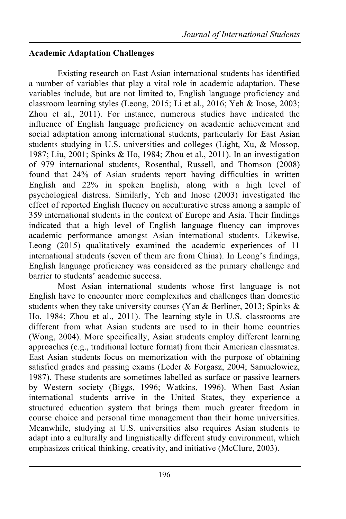## **Academic Adaptation Challenges**

Existing research on East Asian international students has identified a number of variables that play a vital role in academic adaptation. These variables include, but are not limited to, English language proficiency and classroom learning styles (Leong, 2015; Li et al., 2016; Yeh & Inose, 2003; Zhou et al., 2011). For instance, numerous studies have indicated the influence of English language proficiency on academic achievement and social adaptation among international students, particularly for East Asian students studying in U.S. universities and colleges (Light, Xu, & Mossop, 1987; Liu, 2001; Spinks & Ho, 1984; Zhou et al., 2011). In an investigation of 979 international students, Rosenthal, Russell, and Thomson (2008) found that 24% of Asian students report having difficulties in written English and 22% in spoken English, along with a high level of psychological distress. Similarly, Yeh and Inose (2003) investigated the effect of reported English fluency on acculturative stress among a sample of 359 international students in the context of Europe and Asia. Their findings indicated that a high level of English language fluency can improves academic performance amongst Asian international students. Likewise, Leong (2015) qualitatively examined the academic experiences of 11 international students (seven of them are from China). In Leong's findings, English language proficiency was considered as the primary challenge and barrier to students' academic success.

Most Asian international students whose first language is not English have to encounter more complexities and challenges than domestic students when they take university courses (Yan  $\&$  Berliner, 2013; Spinks  $\&$ Ho, 1984; Zhou et al., 2011). The learning style in U.S. classrooms are different from what Asian students are used to in their home countries (Wong, 2004). More specifically, Asian students employ different learning approaches (e.g., traditional lecture format) from their American classmates. East Asian students focus on memorization with the purpose of obtaining satisfied grades and passing exams (Leder & Forgasz, 2004; Samuelowicz, 1987). These students are sometimes labelled as surface or passive learners by Western society (Biggs, 1996; Watkins, 1996). When East Asian international students arrive in the United States, they experience a structured education system that brings them much greater freedom in course choice and personal time management than their home universities. Meanwhile, studying at U.S. universities also requires Asian students to adapt into a culturally and linguistically different study environment, which emphasizes critical thinking, creativity, and initiative (McClure, 2003).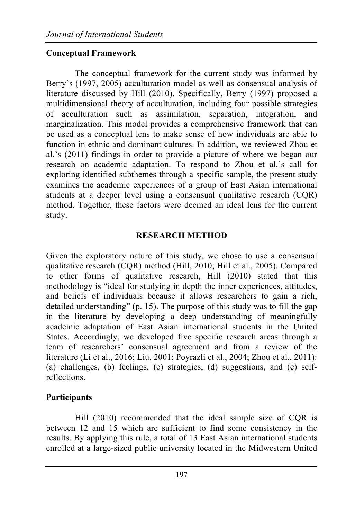## **Conceptual Framework**

The conceptual framework for the current study was informed by Berry's (1997, 2005) acculturation model as well as consensual analysis of literature discussed by Hill (2010). Specifically, Berry (1997) proposed a multidimensional theory of acculturation, including four possible strategies of acculturation such as assimilation, separation, integration, and marginalization. This model provides a comprehensive framework that can be used as a conceptual lens to make sense of how individuals are able to function in ethnic and dominant cultures. In addition, we reviewed Zhou et al.'s (2011) findings in order to provide a picture of where we began our research on academic adaptation. To respond to Zhou et al.'s call for exploring identified subthemes through a specific sample, the present study examines the academic experiences of a group of East Asian international students at a deeper level using a consensual qualitative research (CQR) method. Together, these factors were deemed an ideal lens for the current study.

#### **RESEARCH METHOD**

Given the exploratory nature of this study, we chose to use a consensual qualitative research (CQR) method (Hill, 2010; Hill et al., 2005). Compared to other forms of qualitative research, Hill (2010) stated that this methodology is "ideal for studying in depth the inner experiences, attitudes, and beliefs of individuals because it allows researchers to gain a rich, detailed understanding" (p. 15). The purpose of this study was to fill the gap in the literature by developing a deep understanding of meaningfully academic adaptation of East Asian international students in the United States. Accordingly, we developed five specific research areas through a team of researchers' consensual agreement and from a review of the literature (Li et al., 2016; Liu, 2001; Poyrazli et al., 2004; Zhou et al., 2011): (a) challenges, (b) feelings, (c) strategies, (d) suggestions, and (e) selfreflections.

#### **Participants**

Hill (2010) recommended that the ideal sample size of CQR is between 12 and 15 which are sufficient to find some consistency in the results. By applying this rule, a total of 13 East Asian international students enrolled at a large-sized public university located in the Midwestern United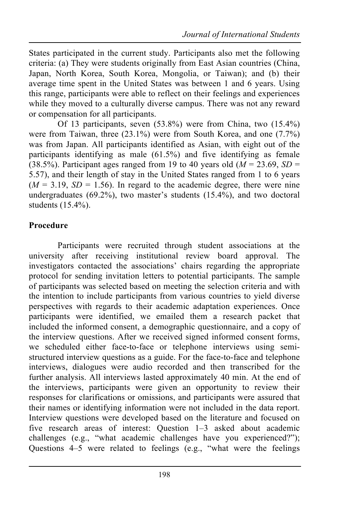States participated in the current study. Participants also met the following criteria: (a) They were students originally from East Asian countries (China, Japan, North Korea, South Korea, Mongolia, or Taiwan); and (b) their average time spent in the United States was between 1 and 6 years. Using this range, participants were able to reflect on their feelings and experiences while they moved to a culturally diverse campus. There was not any reward or compensation for all participants.

Of 13 participants, seven (53.8%) were from China, two (15.4%) were from Taiwan, three (23.1%) were from South Korea, and one (7.7%) was from Japan. All participants identified as Asian, with eight out of the participants identifying as male (61.5%) and five identifying as female  $(38.5\%)$ . Participant ages ranged from 19 to 40 years old ( $\dot{M} = 23.69$ ,  $SD =$ 5.57), and their length of stay in the United States ranged from 1 to 6 years  $(M = 3.19, SD = 1.56)$ . In regard to the academic degree, there were nine undergraduates  $(69.2\%)$ , two master's students  $(15.4\%)$ , and two doctoral students (15.4%).

#### **Procedure**

Participants were recruited through student associations at the university after receiving institutional review board approval. The investigators contacted the associations' chairs regarding the appropriate protocol for sending invitation letters to potential participants. The sample of participants was selected based on meeting the selection criteria and with the intention to include participants from various countries to yield diverse perspectives with regards to their academic adaptation experiences. Once participants were identified, we emailed them a research packet that included the informed consent, a demographic questionnaire, and a copy of the interview questions. After we received signed informed consent forms, we scheduled either face-to-face or telephone interviews using semistructured interview questions as a guide. For the face-to-face and telephone interviews, dialogues were audio recorded and then transcribed for the further analysis. All interviews lasted approximately 40 min. At the end of the interviews, participants were given an opportunity to review their responses for clarifications or omissions, and participants were assured that their names or identifying information were not included in the data report. Interview questions were developed based on the literature and focused on five research areas of interest: Question 1–3 asked about academic challenges (e.g., "what academic challenges have you experienced?"); Questions 4–5 were related to feelings (e.g., "what were the feelings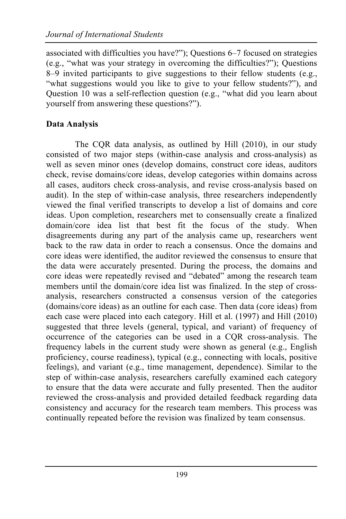associated with difficulties you have?"); Questions 6–7 focused on strategies (e.g., "what was your strategy in overcoming the difficulties?"); Questions 8–9 invited participants to give suggestions to their fellow students (e.g., "what suggestions would you like to give to your fellow students?"), and Question 10 was a self-reflection question (e.g., "what did you learn about yourself from answering these questions?").

## **Data Analysis**

The CQR data analysis, as outlined by Hill (2010), in our study consisted of two major steps (within-case analysis and cross-analysis) as well as seven minor ones (develop domains, construct core ideas, auditors check, revise domains/core ideas, develop categories within domains across all cases, auditors check cross-analysis, and revise cross-analysis based on audit). In the step of within-case analysis, three researchers independently viewed the final verified transcripts to develop a list of domains and core ideas. Upon completion, researchers met to consensually create a finalized domain/core idea list that best fit the focus of the study. When disagreements during any part of the analysis came up, researchers went back to the raw data in order to reach a consensus. Once the domains and core ideas were identified, the auditor reviewed the consensus to ensure that the data were accurately presented. During the process, the domains and core ideas were repeatedly revised and "debated" among the research team members until the domain/core idea list was finalized. In the step of crossanalysis, researchers constructed a consensus version of the categories (domains/core ideas) as an outline for each case. Then data (core ideas) from each case were placed into each category. Hill et al. (1997) and Hill (2010) suggested that three levels (general, typical, and variant) of frequency of occurrence of the categories can be used in a CQR cross-analysis. The frequency labels in the current study were shown as general (e.g., English proficiency, course readiness), typical (e.g., connecting with locals, positive feelings), and variant (e.g., time management, dependence). Similar to the step of within-case analysis, researchers carefully examined each category to ensure that the data were accurate and fully presented. Then the auditor reviewed the cross-analysis and provided detailed feedback regarding data consistency and accuracy for the research team members. This process was continually repeated before the revision was finalized by team consensus.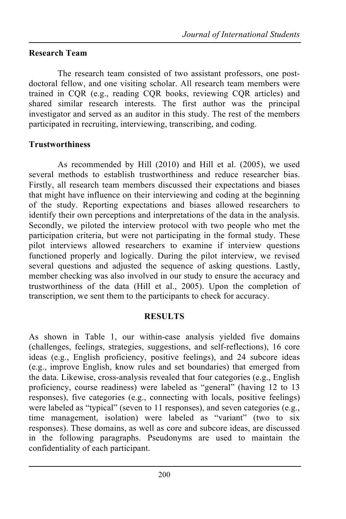#### **Research Team**

The research team consisted of two assistant professors, one postdoctoral fellow, and one visiting scholar. All research team members were trained in CQR (e.g., reading CQR books, reviewing CQR articles) and shared similar research interests. The first author was the principal investigator and served as an auditor in this study. The rest of the members participated in recruiting, interviewing, transcribing, and coding.

#### **Trustworthiness**

As recommended by Hill (2010) and Hill et al. (2005), we used several methods to establish trustworthiness and reduce researcher bias. Firstly, all research team members discussed their expectations and biases that might have influence on their interviewing and coding at the beginning of the study. Reporting expectations and biases allowed researchers to identify their own perceptions and interpretations of the data in the analysis. Secondly, we piloted the interview protocol with two people who met the participation criteria, but were not participating in the formal study. These pilot interviews allowed researchers to examine if interview questions functioned properly and logically. During the pilot interview, we revised several questions and adjusted the sequence of asking questions. Lastly, member checking was also involved in our study to ensure the accuracy and trustworthiness of the data (Hill et al., 2005). Upon the completion of transcription, we sent them to the participants to check for accuracy.

#### **RESULTS**

As shown in Table 1, our within-case analysis yielded five domains (challenges, feelings, strategies, suggestions, and self-reflections), 16 core ideas (e.g., English proficiency, positive feelings), and 24 subcore ideas (e.g., improve English, know rules and set boundaries) that emerged from the data. Likewise, cross-analysis revealed that four categories (e.g., English proficiency, course readiness) were labeled as "general" (having 12 to 13 responses), five categories (e.g., connecting with locals, positive feelings) were labeled as "typical" (seven to 11 responses), and seven categories (e.g., time management, isolation) were labeled as "variant" (two to six responses). These domains, as well as core and subcore ideas, are discussed in the following paragraphs. Pseudonyms are used to maintain the confidentiality of each participant.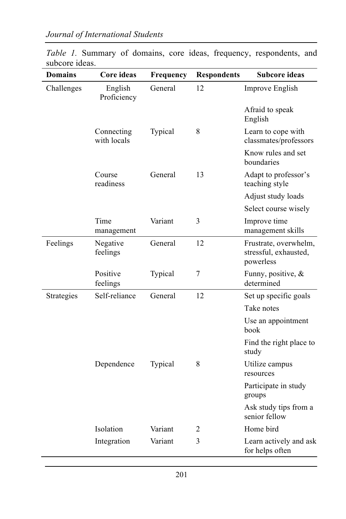| <b>Domains</b> | Core ideas                | Frequency | <b>Respondents</b> | <b>Subcore ideas</b>                                        |
|----------------|---------------------------|-----------|--------------------|-------------------------------------------------------------|
| Challenges     | English<br>Proficiency    | General   | 12                 | Improve English                                             |
|                |                           |           |                    | Afraid to speak<br>English                                  |
|                | Connecting<br>with locals | Typical   | 8                  | Learn to cope with<br>classmates/professors                 |
|                |                           |           |                    | Know rules and set<br>boundaries                            |
|                | Course<br>readiness       | General   | 13                 | Adapt to professor's<br>teaching style                      |
|                |                           |           |                    | Adjust study loads                                          |
|                |                           |           |                    | Select course wisely                                        |
|                | Time<br>management        | Variant   | 3                  | Improve time<br>management skills                           |
| Feelings       | Negative<br>feelings      | General   | 12                 | Frustrate, overwhelm,<br>stressful, exhausted,<br>powerless |
|                | Positive<br>feelings      | Typical   | $\overline{7}$     | Funny, positive, &<br>determined                            |
| Strategies     | Self-reliance             | General   | 12                 | Set up specific goals                                       |
|                |                           |           |                    | Take notes                                                  |
|                |                           |           |                    | Use an appointment<br>book                                  |
|                |                           |           |                    | Find the right place to<br>study                            |
|                | Dependence                | Typical   | 8                  | Utilize campus<br>resources                                 |
|                |                           |           |                    | Participate in study<br>groups                              |
|                |                           |           |                    | Ask study tips from a<br>senior fellow                      |
|                | Isolation                 | Variant   | 2                  | Home bird                                                   |
|                | Integration               | Variant   | 3                  | Learn actively and ask<br>for helps often                   |

*Table 1.* Summary of domains, core ideas, frequency, respondents, and subcore ideas.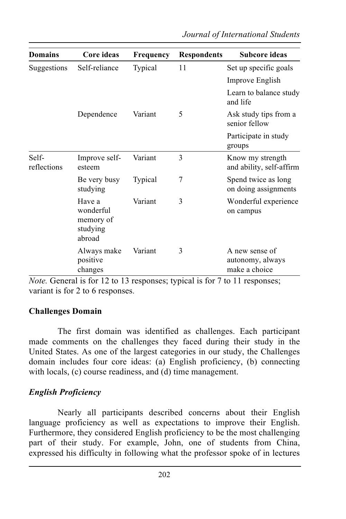| <b>Domains</b>       | Core ideas                                             | Frequency | <b>Respondents</b> | <b>Subcore ideas</b>                                |
|----------------------|--------------------------------------------------------|-----------|--------------------|-----------------------------------------------------|
| Suggestions          | Self-reliance                                          | Typical   | 11                 | Set up specific goals                               |
|                      |                                                        |           |                    | Improve English                                     |
|                      |                                                        |           |                    | Learn to balance study<br>and life                  |
|                      | Dependence                                             | Variant   | 5                  | Ask study tips from a<br>senior fellow              |
|                      |                                                        |           |                    | Participate in study<br>groups                      |
| Self-<br>reflections | Improve self-<br>esteem                                | Variant   | 3                  | Know my strength<br>and ability, self-affirm        |
|                      | Be very busy<br>studying                               | Typical   | 7                  | Spend twice as long<br>on doing assignments         |
|                      | Have a<br>wonderful<br>memory of<br>studying<br>abroad | Variant   | 3                  | Wonderful experience<br>on campus                   |
|                      | Always make<br>positive<br>changes                     | Variant   | 3                  | A new sense of<br>autonomy, always<br>make a choice |

*Note.* General is for 12 to 13 responses; typical is for 7 to 11 responses; variant is for 2 to 6 responses.

#### **Challenges Domain**

The first domain was identified as challenges. Each participant made comments on the challenges they faced during their study in the United States. As one of the largest categories in our study, the Challenges domain includes four core ideas: (a) English proficiency, (b) connecting with locals, (c) course readiness, and (d) time management.

#### *English Proficiency*

Nearly all participants described concerns about their English language proficiency as well as expectations to improve their English. Furthermore, they considered English proficiency to be the most challenging part of their study. For example, John, one of students from China, expressed his difficulty in following what the professor spoke of in lectures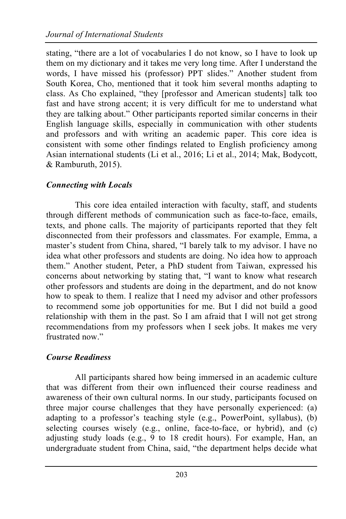stating, "there are a lot of vocabularies I do not know, so I have to look up them on my dictionary and it takes me very long time. After I understand the words, I have missed his (professor) PPT slides." Another student from South Korea, Cho, mentioned that it took him several months adapting to class. As Cho explained, "they [professor and American students] talk too fast and have strong accent; it is very difficult for me to understand what they are talking about." Other participants reported similar concerns in their English language skills, especially in communication with other students and professors and with writing an academic paper. This core idea is consistent with some other findings related to English proficiency among Asian international students (Li et al., 2016; Li et al., 2014; Mak, Bodycott, & Ramburuth, 2015).

#### *Connecting with Locals*

This core idea entailed interaction with faculty, staff, and students through different methods of communication such as face-to-face, emails, texts, and phone calls. The majority of participants reported that they felt disconnected from their professors and classmates. For example, Emma, a master's student from China, shared, "I barely talk to my advisor. I have no idea what other professors and students are doing. No idea how to approach them." Another student, Peter, a PhD student from Taiwan, expressed his concerns about networking by stating that, "I want to know what research other professors and students are doing in the department, and do not know how to speak to them. I realize that I need my advisor and other professors to recommend some job opportunities for me. But I did not build a good relationship with them in the past. So I am afraid that I will not get strong recommendations from my professors when I seek jobs. It makes me very frustrated now."

## *Course Readiness*

All participants shared how being immersed in an academic culture that was different from their own influenced their course readiness and awareness of their own cultural norms. In our study, participants focused on three major course challenges that they have personally experienced: (a) adapting to a professor's teaching style (e.g., PowerPoint, syllabus), (b) selecting courses wisely (e.g., online, face-to-face, or hybrid), and (c) adjusting study loads (e.g., 9 to 18 credit hours). For example, Han, an undergraduate student from China, said, "the department helps decide what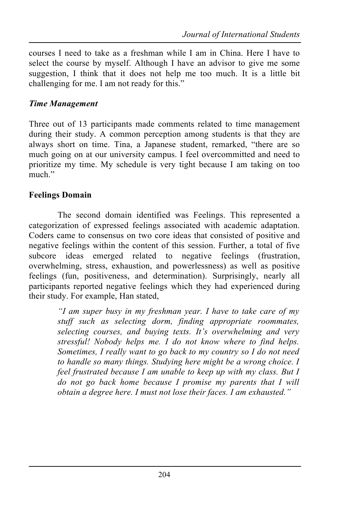courses I need to take as a freshman while I am in China. Here I have to select the course by myself. Although I have an advisor to give me some suggestion, I think that it does not help me too much. It is a little bit challenging for me. I am not ready for this."

### *Time Management*

Three out of 13 participants made comments related to time management during their study. A common perception among students is that they are always short on time. Tina, a Japanese student, remarked, "there are so much going on at our university campus. I feel overcommitted and need to prioritize my time. My schedule is very tight because I am taking on too much<sup>"</sup>

#### **Feelings Domain**

The second domain identified was Feelings. This represented a categorization of expressed feelings associated with academic adaptation. Coders came to consensus on two core ideas that consisted of positive and negative feelings within the content of this session. Further, a total of five subcore ideas emerged related to negative feelings (frustration, overwhelming, stress, exhaustion, and powerlessness) as well as positive feelings (fun, positiveness, and determination). Surprisingly, nearly all participants reported negative feelings which they had experienced during their study. For example, Han stated,

*"I am super busy in my freshman year. I have to take care of my stuff such as selecting dorm, finding appropriate roommates, selecting courses, and buying texts. It's overwhelming and very stressful! Nobody helps me. I do not know where to find helps. Sometimes, I really want to go back to my country so I do not need to handle so many things. Studying here might be a wrong choice. I feel frustrated because I am unable to keep up with my class. But I do not go back home because I promise my parents that I will obtain a degree here. I must not lose their faces. I am exhausted."*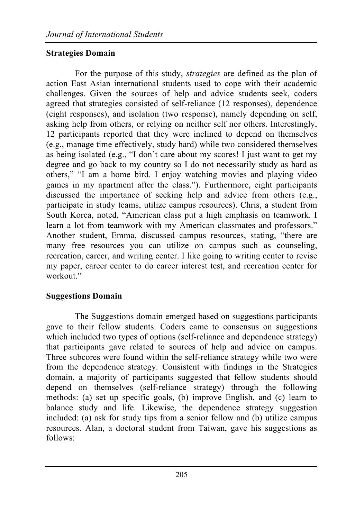## **Strategies Domain**

For the purpose of this study, *strategies* are defined as the plan of action East Asian international students used to cope with their academic challenges. Given the sources of help and advice students seek, coders agreed that strategies consisted of self-reliance (12 responses), dependence (eight responses), and isolation (two response), namely depending on self, asking help from others, or relying on neither self nor others. Interestingly, 12 participants reported that they were inclined to depend on themselves (e.g., manage time effectively, study hard) while two considered themselves as being isolated (e.g., "I don't care about my scores! I just want to get my degree and go back to my country so I do not necessarily study as hard as others," "I am a home bird. I enjoy watching movies and playing video games in my apartment after the class."). Furthermore, eight participants discussed the importance of seeking help and advice from others (e.g., participate in study teams, utilize campus resources). Chris, a student from South Korea, noted, "American class put a high emphasis on teamwork. I learn a lot from teamwork with my American classmates and professors." Another student, Emma, discussed campus resources, stating, "there are many free resources you can utilize on campus such as counseling, recreation, career, and writing center. I like going to writing center to revise my paper, career center to do career interest test, and recreation center for workout<sup>"</sup>

## **Suggestions Domain**

The Suggestions domain emerged based on suggestions participants gave to their fellow students. Coders came to consensus on suggestions which included two types of options (self-reliance and dependence strategy) that participants gave related to sources of help and advice on campus. Three subcores were found within the self-reliance strategy while two were from the dependence strategy. Consistent with findings in the Strategies domain, a majority of participants suggested that fellow students should depend on themselves (self-reliance strategy) through the following methods: (a) set up specific goals, (b) improve English, and (c) learn to balance study and life. Likewise, the dependence strategy suggestion included: (a) ask for study tips from a senior fellow and (b) utilize campus resources. Alan, a doctoral student from Taiwan, gave his suggestions as follows: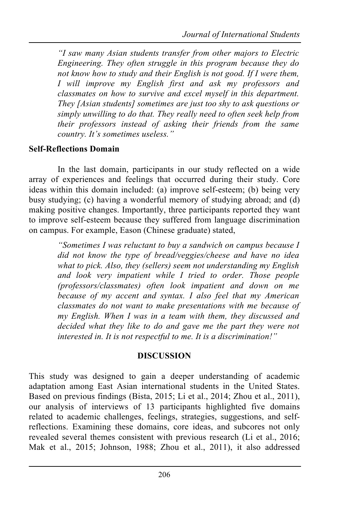*"I saw many Asian students transfer from other majors to Electric Engineering. They often struggle in this program because they do not know how to study and their English is not good. If I were them, I will improve my English first and ask my professors and classmates on how to survive and excel myself in this department. They [Asian students] sometimes are just too shy to ask questions or simply unwilling to do that. They really need to often seek help from their professors instead of asking their friends from the same country. It's sometimes useless."*

### **Self-Reflections Domain**

In the last domain, participants in our study reflected on a wide array of experiences and feelings that occurred during their study. Core ideas within this domain included: (a) improve self-esteem; (b) being very busy studying; (c) having a wonderful memory of studying abroad; and (d) making positive changes. Importantly, three participants reported they want to improve self-esteem because they suffered from language discrimination on campus. For example, Eason (Chinese graduate) stated,

> *"Sometimes I was reluctant to buy a sandwich on campus because I did not know the type of bread/veggies/cheese and have no idea what to pick. Also, they (sellers) seem not understanding my English and look very impatient while I tried to order. Those people (professors/classmates) often look impatient and down on me because of my accent and syntax. I also feel that my American classmates do not want to make presentations with me because of my English. When I was in a team with them, they discussed and decided what they like to do and gave me the part they were not interested in. It is not respectful to me. It is a discrimination!"*

#### **DISCUSSION**

This study was designed to gain a deeper understanding of academic adaptation among East Asian international students in the United States. Based on previous findings (Bista, 2015; Li et al., 2014; Zhou et al., 2011), our analysis of interviews of 13 participants highlighted five domains related to academic challenges, feelings, strategies, suggestions, and selfreflections. Examining these domains, core ideas, and subcores not only revealed several themes consistent with previous research (Li et al., 2016; Mak et al., 2015; Johnson, 1988; Zhou et al., 2011), it also addressed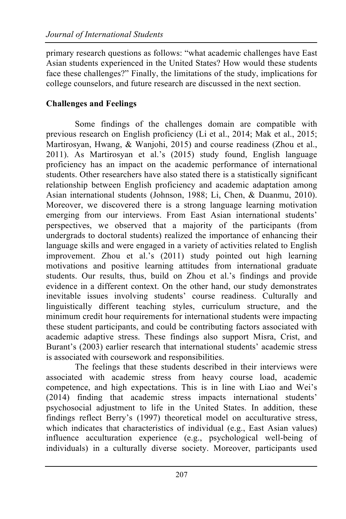primary research questions as follows: "what academic challenges have East Asian students experienced in the United States? How would these students face these challenges?" Finally, the limitations of the study, implications for college counselors, and future research are discussed in the next section.

## **Challenges and Feelings**

Some findings of the challenges domain are compatible with previous research on English proficiency (Li et al., 2014; Mak et al., 2015; Martirosyan, Hwang, & Wanjohi, 2015) and course readiness (Zhou et al., 2011). As Martirosyan et al.'s (2015) study found, English language proficiency has an impact on the academic performance of international students. Other researchers have also stated there is a statistically significant relationship between English proficiency and academic adaptation among Asian international students (Johnson, 1988; Li, Chen, & Duanmu, 2010). Moreover, we discovered there is a strong language learning motivation emerging from our interviews. From East Asian international students' perspectives, we observed that a majority of the participants (from undergrads to doctoral students) realized the importance of enhancing their language skills and were engaged in a variety of activities related to English improvement. Zhou et al.'s (2011) study pointed out high learning motivations and positive learning attitudes from international graduate students. Our results, thus, build on Zhou et al.'s findings and provide evidence in a different context. On the other hand, our study demonstrates inevitable issues involving students' course readiness. Culturally and linguistically different teaching styles, curriculum structure, and the minimum credit hour requirements for international students were impacting these student participants, and could be contributing factors associated with academic adaptive stress. These findings also support Misra, Crist, and Burant's (2003) earlier research that international students' academic stress is associated with coursework and responsibilities.

The feelings that these students described in their interviews were associated with academic stress from heavy course load, academic competence, and high expectations. This is in line with Liao and Wei's (2014) finding that academic stress impacts international students' psychosocial adjustment to life in the United States. In addition, these findings reflect Berry's (1997) theoretical model on acculturative stress, which indicates that characteristics of individual (e.g., East Asian values) influence acculturation experience (e.g., psychological well-being of individuals) in a culturally diverse society. Moreover, participants used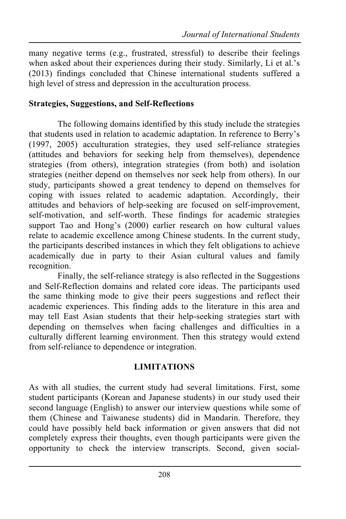many negative terms (e.g., frustrated, stressful) to describe their feelings when asked about their experiences during their study. Similarly, Li et al.'s (2013) findings concluded that Chinese international students suffered a high level of stress and depression in the acculturation process.

#### **Strategies, Suggestions, and Self-Reflections**

The following domains identified by this study include the strategies that students used in relation to academic adaptation. In reference to Berry's (1997, 2005) acculturation strategies, they used self-reliance strategies (attitudes and behaviors for seeking help from themselves), dependence strategies (from others), integration strategies (from both) and isolation strategies (neither depend on themselves nor seek help from others). In our study, participants showed a great tendency to depend on themselves for coping with issues related to academic adaptation. Accordingly, their attitudes and behaviors of help-seeking are focused on self-improvement, self-motivation, and self-worth. These findings for academic strategies support Tao and Hong's (2000) earlier research on how cultural values relate to academic excellence among Chinese students. In the current study, the participants described instances in which they felt obligations to achieve academically due in party to their Asian cultural values and family recognition.

Finally, the self-reliance strategy is also reflected in the Suggestions and Self-Reflection domains and related core ideas. The participants used the same thinking mode to give their peers suggestions and reflect their academic experiences. This finding adds to the literature in this area and may tell East Asian students that their help-seeking strategies start with depending on themselves when facing challenges and difficulties in a culturally different learning environment. Then this strategy would extend from self-reliance to dependence or integration.

## **LIMITATIONS**

As with all studies, the current study had several limitations. First, some student participants (Korean and Japanese students) in our study used their second language (English) to answer our interview questions while some of them (Chinese and Taiwanese students) did in Mandarin. Therefore, they could have possibly held back information or given answers that did not completely express their thoughts, even though participants were given the opportunity to check the interview transcripts. Second, given social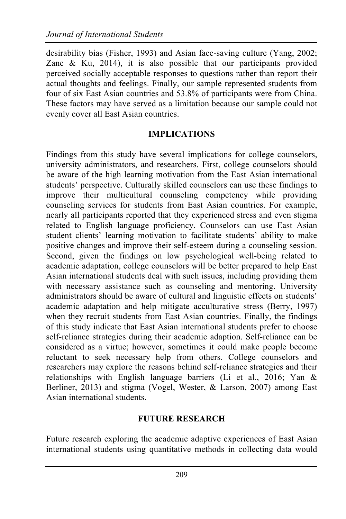desirability bias (Fisher, 1993) and Asian face-saving culture (Yang, 2002; Zane & Ku, 2014), it is also possible that our participants provided perceived socially acceptable responses to questions rather than report their actual thoughts and feelings. Finally, our sample represented students from four of six East Asian countries and 53.8% of participants were from China. These factors may have served as a limitation because our sample could not evenly cover all East Asian countries.

#### **IMPLICATIONS**

Findings from this study have several implications for college counselors, university administrators, and researchers. First, college counselors should be aware of the high learning motivation from the East Asian international students' perspective. Culturally skilled counselors can use these findings to improve their multicultural counseling competency while providing counseling services for students from East Asian countries. For example, nearly all participants reported that they experienced stress and even stigma related to English language proficiency. Counselors can use East Asian student clients' learning motivation to facilitate students' ability to make positive changes and improve their self-esteem during a counseling session. Second, given the findings on low psychological well-being related to academic adaptation, college counselors will be better prepared to help East Asian international students deal with such issues, including providing them with necessary assistance such as counseling and mentoring. University administrators should be aware of cultural and linguistic effects on students' academic adaptation and help mitigate acculturative stress (Berry, 1997) when they recruit students from East Asian countries. Finally, the findings of this study indicate that East Asian international students prefer to choose self-reliance strategies during their academic adaption. Self-reliance can be considered as a virtue; however, sometimes it could make people become reluctant to seek necessary help from others. College counselors and researchers may explore the reasons behind self-reliance strategies and their relationships with English language barriers (Li et al., 2016; Yan & Berliner, 2013) and stigma (Vogel, Wester, & Larson, 2007) among East Asian international students.

#### **FUTURE RESEARCH**

Future research exploring the academic adaptive experiences of East Asian international students using quantitative methods in collecting data would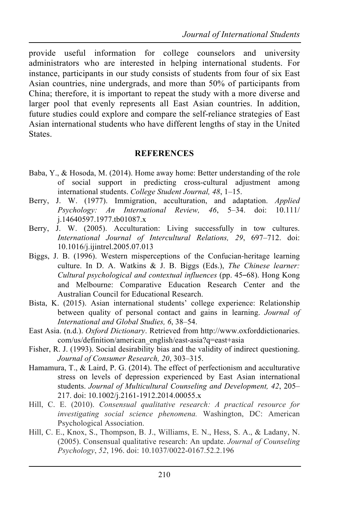provide useful information for college counselors and university administrators who are interested in helping international students. For instance, participants in our study consists of students from four of six East Asian countries, nine undergrads, and more than 50% of participants from China; therefore, it is important to repeat the study with a more diverse and larger pool that evenly represents all East Asian countries. In addition, future studies could explore and compare the self-reliance strategies of East Asian international students who have different lengths of stay in the United States.

#### **REFERENCES**

- Baba, Y., & Hosoda, M. (2014). Home away home: Better understanding of the role of social support in predicting cross-cultural adjustment among international students. *College Student Journal, 48*, 1–15.
- Berry, J. W. (1977). Immigration, acculturation, and adaptation. *Applied Psychology: An International Review, 46*, 5–34. doi: 10.111/ j.14640597.1977.tb01087.x
- Berry, J. W. (2005). Acculturation: Living successfully in tow cultures. *International Journal of Intercultural Relations, 29*, 697–712. doi: 10.1016/j.ijintrel.2005.07.013
- Biggs, J. B. (1996). Western misperceptions of the Confucian-heritage learning culture. In D. A. Watkins & J. B. Biggs (Eds.), *The Chinese learner: Cultural psychological and contextual influences* (pp. 45–68). Hong Kong and Melbourne: Comparative Education Research Center and the Australian Council for Educational Research.
- Bista, K. (2015). Asian international students' college experience: Relationship between quality of personal contact and gains in learning. *Journal of International and Global Studies, 6*, 38–54.
- East Asia. (n.d.). *Oxford Dictionary*. Retrieved from http://www.oxforddictionaries. com/us/definition/american\_english/east-asia?q=east+asia
- Fisher, R. J. (1993). Social desirability bias and the validity of indirect questioning. *Journal of Consumer Research, 20*, 303–315.
- Hamamura, T., & Laird, P. G. (2014). The effect of perfectionism and acculturative stress on levels of depression experienced by East Asian international students. *Journal of Multicultural Counseling and Development, 42*, 205– 217. doi: 10.1002/j.2161-1912.2014.00055.x
- Hill, C. E. (2010). *Consensual qualitative research: A practical resource for investigating social science phenomena.* Washington, DC: American Psychological Association.
- Hill, C. E., Knox, S., Thompson, B. J., Williams, E. N., Hess, S. A., & Ladany, N. (2005). Consensual qualitative research: An update. *Journal of Counseling Psychology*, *52*, 196. doi: 10.1037/0022-0167.52.2.196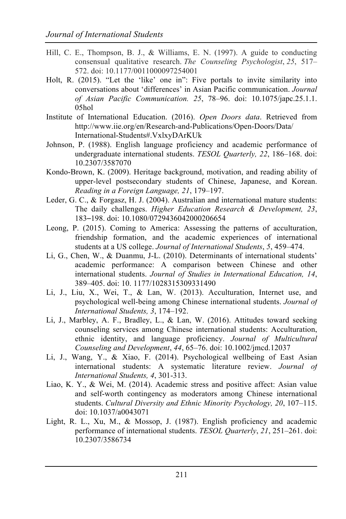- Hill, C. E., Thompson, B. J., & Williams, E. N. (1997). A guide to conducting consensual qualitative research. *The Counseling Psychologist*, *25*, 517– 572. doi: 10.1177/0011000097254001
- Holt, R. (2015). "Let the 'like' one in": Five portals to invite similarity into conversations about 'differences' in Asian Pacific communication. *Journal of Asian Pacific Communication. 25*, 78–96. doi: 10.1075/japc.25.1.1. 05hol
- Institute of International Education. (2016). *Open Doors data*. Retrieved from http://www.iie.org/en/Research-and-Publications/Open-Doors/Data/ International-Students#.VxlxyDArKUk
- Johnson, P. (1988). English language proficiency and academic performance of undergraduate international students. *TESOL Quarterly, 22*, 186–168. doi: 10.2307/3587070
- Kondo-Brown, K. (2009). Heritage background, motivation, and reading ability of upper-level postsecondary students of Chinese, Japanese, and Korean. *Reading in a Foreign Language, 21*, 179–197.
- Leder, G. C., & Forgasz, H. J. (2004). Australian and international mature students: The daily challenges. *Higher Education Research & Development, 23*, 183–198. doi: 10.1080/0729436042000206654
- Leong, P. (2015). Coming to America: Assessing the patterns of acculturation, friendship formation, and the academic experiences of international students at a US college. *Journal of International Students*, *5*, 459–474.
- Li, G., Chen, W., & Duanmu, J-L. (2010). Determinants of international students' academic performance: A comparison between Chinese and other international students. *Journal of Studies in International Education, 14*, 389–405. doi: 10. 1177/1028315309331490
- Li, J., Liu, X., Wei, T., & Lan, W. (2013). Acculturation, Internet use, and psychological well-being among Chinese international students. *Journal of International Students, 3*, 174–192.
- Li, J., Marbley, A. F., Bradley, L., & Lan, W. (2016). Attitudes toward seeking counseling services among Chinese international students: Acculturation, ethnic identity, and language proficiency. *Journal of Multicultural Counseling and Development*, *44*, 65–76. doi: 10.1002/jmcd.12037
- Li, J., Wang, Y., & Xiao, F. (2014). Psychological wellbeing of East Asian international students: A systematic literature review. *Journal of International Students, 4*, 301-313.
- Liao, K. Y., & Wei, M. (2014). Academic stress and positive affect: Asian value and self-worth contingency as moderators among Chinese international students. *Cultural Diversity and Ethnic Minority Psychology, 20*, 107–115. doi: 10.1037/a0043071
- Light, R. L., Xu, M., & Mossop, J. (1987). English proficiency and academic performance of international students. *TESOL Quarterly*, *21*, 251–261. doi: 10.2307/3586734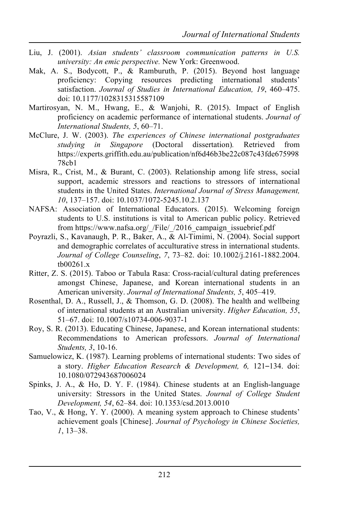- Liu, J. (2001). *Asian students' classroom communication patterns in U.S. university: An emic perspective.* New York: Greenwood.
- Mak, A. S., Bodycott, P., & Ramburuth, P. (2015). Beyond host language proficiency: Copying resources predicting international students' satisfaction. *Journal of Studies in International Education, 19*, 460–475. doi: 10.1177/1028315315587109
- Martirosyan, N. M., Hwang, E., & Wanjohi, R. (2015). Impact of English proficiency on academic performance of international students. *Journal of International Students, 5*, 60–71.
- McClure, J. W. (2003). *The experiences of Chinese international postgraduates studying in Singapore* (Doctoral dissertation)*.* Retrieved from https://experts.griffith.edu.au/publication/nf6d46b3be22c087c43fde675998 78cb1
- Misra, R., Crist, M., & Burant, C. (2003). Relationship among life stress, social support, academic stressors and reactions to stressors of international students in the United States. *International Journal of Stress Management, 10*, 137–157. doi: 10.1037/1072-5245.10.2.137
- NAFSA: Association of International Educators. (2015). Welcoming foreign students to U.S. institutions is vital to American public policy. Retrieved from https://www.nafsa.org/ /File/ /2016 campaign issuebrief.pdf
- Poyrazli, S., Kavanaugh, P. R., Baker, A., & Al-Timimi, N. (2004). Social support and demographic correlates of acculturative stress in international students. *Journal of College Counseling*, *7*, 73–82. doi: 10.1002/j.2161-1882.2004. tb00261.x
- Ritter, Z. S. (2015). Taboo or Tabula Rasa: Cross-racial/cultural dating preferences amongst Chinese, Japanese, and Korean international students in an American university. *Journal of International Students, 5*, 405–419.
- Rosenthal, D. A., Russell, J., & Thomson, G. D. (2008). The health and wellbeing of international students at an Australian university. *Higher Education, 55*, 51–67. doi: 10.1007/s10734-006-9037-1
- Roy, S. R. (2013). Educating Chinese, Japanese, and Korean international students: Recommendations to American professors. *Journal of International Students, 3*, 10-16.
- Samuelowicz, K. (1987). Learning problems of international students: Two sides of a story. *Higher Education Research & Development, 6,* 121–134. doi: 10.1080/072943687006024
- Spinks, J. A., & Ho, D. Y. F. (1984). Chinese students at an English-language university: Stressors in the United States. *Journal of College Student Development, 54*, 62–84. doi: 10.1353/csd.2013.0010
- Tao, V., & Hong, Y. Y. (2000). A meaning system approach to Chinese students' achievement goals [Chinese]. *Journal of Psychology in Chinese Societies, 1*, 13–38.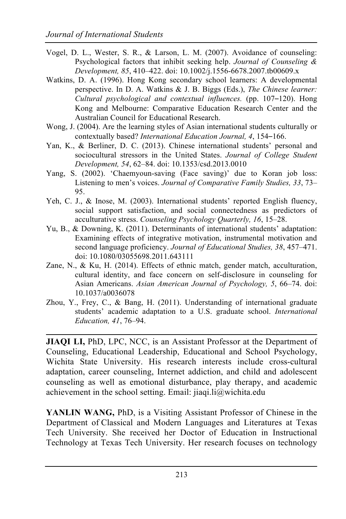- Vogel, D. L., Wester, S. R., & Larson, L. M. (2007). Avoidance of counseling: Psychological factors that inhibit seeking help. *Journal of Counseling & Development, 85*, 410–422. doi: 10.1002/j.1556-6678.2007.tb00609.x
- Watkins, D. A. (1996). Hong Kong secondary school learners: A developmental perspective. In D. A. Watkins & J. B. Biggs (Eds.), *The Chinese learner: Cultural psychological and contextual influences.* (pp. 107–120). Hong Kong and Melbourne: Comparative Education Research Center and the Australian Council for Educational Research.
- Wong, J. (2004). Are the learning styles of Asian international students culturally or contextually based? *International Education Journal, 4*, 154–166.
- Yan, K., & Berliner, D. C. (2013). Chinese international students' personal and sociocultural stressors in the United States. *Journal of College Student Development, 54*, 62–84. doi: 10.1353/csd.2013.0010
- Yang, S. (2002). 'Chaemyoun-saving (Face saving)' due to Koran job loss: Listening to men's voices. *Journal of Comparative Family Studies, 33*, 73– 95.
- Yeh, C. J., & Inose, M. (2003). International students' reported English fluency, social support satisfaction, and social connectedness as predictors of acculturative stress. *Counseling Psychology Quarterly, 16*, 15–28.
- Yu, B., & Downing, K. (2011). Determinants of international students' adaptation: Examining effects of integrative motivation, instrumental motivation and second language proficiency. *Journal of Educational Studies, 38*, 457–471. doi: 10.1080/03055698.2011.643111
- Zane, N., & Ku, H. (2014). Effects of ethnic match, gender match, acculturation, cultural identity, and face concern on self-disclosure in counseling for Asian Americans. *Asian American Journal of Psychology, 5*, 66–74. doi: 10.1037/a0036078
- Zhou, Y., Frey, C., & Bang, H. (2011). Understanding of international graduate students' academic adaptation to a U.S. graduate school. *International Education, 41*, 76–94.

**JIAQI LI, PhD, LPC, NCC, is an Assistant Professor at the Department of** Counseling, Educational Leadership, Educational and School Psychology, Wichita State University. His research interests include cross-cultural adaptation, career counseling, Internet addiction, and child and adolescent counseling as well as emotional disturbance, play therapy, and academic achievement in the school setting. Email: jiaqi.li@wichita.edu

**YANLIN WANG,** PhD, is a Visiting Assistant Professor of Chinese in the Department of Classical and Modern Languages and Literatures at Texas Tech University. She received her Doctor of Education in Instructional Technology at Texas Tech University. Her research focuses on technology